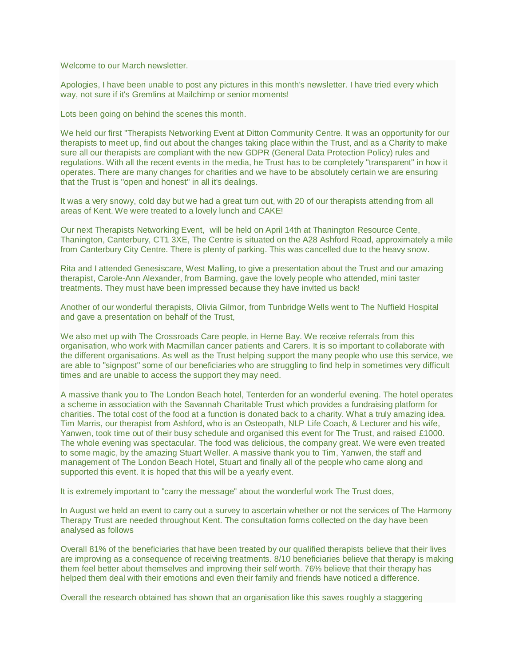Welcome to our March newsletter.

Apologies, I have been unable to post any pictures in this month's newsletter. I have tried every which way, not sure if it's Gremlins at Mailchimp or senior moments!

Lots been going on behind the scenes this month.

We held our first "Therapists Networking Event at Ditton Community Centre. It was an opportunity for our therapists to meet up, find out about the changes taking place within the Trust, and as a Charity to make sure all our therapists are compliant with the new GDPR (General Data Protection Policy) rules and regulations. With all the recent events in the media, he Trust has to be completely "transparent" in how it operates. There are many changes for charities and we have to be absolutely certain we are ensuring that the Trust is "open and honest" in all it's dealings.

It was a very snowy, cold day but we had a great turn out, with 20 of our therapists attending from all areas of Kent. We were treated to a lovely lunch and CAKE!

Our next Therapists Networking Event, will be held on April 14th at Thanington Resource Cente, Thanington, Canterbury, CT1 3XE, The Centre is situated on the A28 Ashford Road, approximately a mile from Canterbury City Centre. There is plenty of parking. This was cancelled due to the heavy snow.

Rita and I attended Genesiscare, West Malling, to give a presentation about the Trust and our amazing therapist, Carole-Ann Alexander, from Barming, gave the lovely people who attended, mini taster treatments. They must have been impressed because they have invited us back!

Another of our wonderful therapists, Olivia Gilmor, from Tunbridge Wells went to The Nuffield Hospital and gave a presentation on behalf of the Trust,

We also met up with The Crossroads Care people, in Herne Bay. We receive referrals from this organisation, who work with Macmillan cancer patients and Carers. It is so important to collaborate with the different organisations. As well as the Trust helping support the many people who use this service, we are able to "signpost" some of our beneficiaries who are struggling to find help in sometimes very difficult times and are unable to access the support they may need.

A massive thank you to The London Beach hotel, Tenterden for an wonderful evening. The hotel operates a scheme in association with the Savannah Charitable Trust which provides a fundraising platform for charities. The total cost of the food at a function is donated back to a charity. What a truly amazing idea. Tim Marris, our therapist from Ashford, who is an Osteopath, NLP Life Coach, & Lecturer and his wife, Yanwen, took time out of their busy schedule and organised this event for The Trust, and raised £1000. The whole evening was spectacular. The food was delicious, the company great. We were even treated to some magic, by the amazing Stuart Weller. A massive thank you to Tim, Yanwen, the staff and management of The London Beach Hotel, Stuart and finally all of the people who came along and supported this event. It is hoped that this will be a yearly event.

It is extremely important to "carry the message" about the wonderful work The Trust does,

In August we held an event to carry out a survey to ascertain whether or not the services of The Harmony Therapy Trust are needed throughout Kent. The consultation forms collected on the day have been analysed as follows

Overall 81% of the beneficiaries that have been treated by our qualified therapists believe that their lives are improving as a consequence of receiving treatments. 8/10 beneficiaries believe that therapy is making them feel better about themselves and improving their self worth. 76% believe that their therapy has helped them deal with their emotions and even their family and friends have noticed a difference.

Overall the research obtained has shown that an organisation like this saves roughly a staggering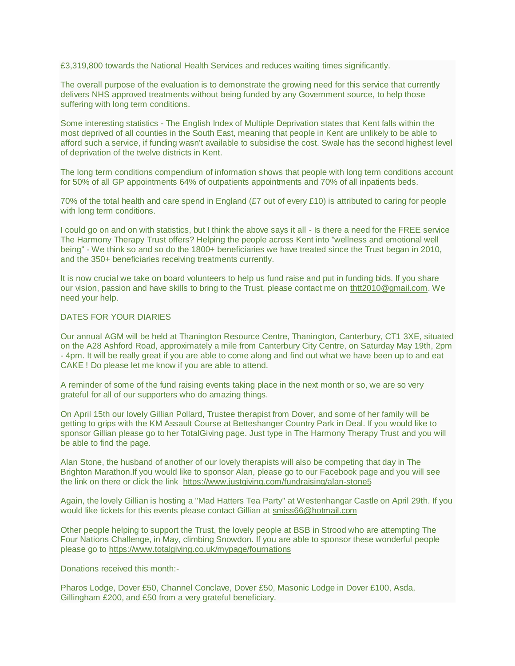£3,319,800 towards the National Health Services and reduces waiting times significantly.

The overall purpose of the evaluation is to demonstrate the growing need for this service that currently delivers NHS approved treatments without being funded by any Government source, to help those suffering with long term conditions.

Some interesting statistics - The English Index of Multiple Deprivation states that Kent falls within the most deprived of all counties in the South East, meaning that people in Kent are unlikely to be able to afford such a service, if funding wasn't available to subsidise the cost. Swale has the second highest level of deprivation of the twelve districts in Kent.

The long term conditions compendium of information shows that people with long term conditions account for 50% of all GP appointments 64% of outpatients appointments and 70% of all inpatients beds.

70% of the total health and care spend in England (£7 out of every £10) is attributed to caring for people with long term conditions.

I could go on and on with statistics, but I think the above says it all - Is there a need for the FREE service The Harmony Therapy Trust offers? Helping the people across Kent into "wellness and emotional well being" - We think so and so do the 1800+ beneficiaries we have treated since the Trust began in 2010, and the 350+ beneficiaries receiving treatments currently.

It is now crucial we take on board volunteers to help us fund raise and put in funding bids. If you share our vision, passion and have skills to bring to the Trust, please contact me on [thtt2010@gmail.com.](mailto:thtt2010@gmail.com) We need your help.

## DATES FOR YOUR DIARIES

Our annual AGM will be held at Thanington Resource Centre, Thanington, Canterbury, CT1 3XE, situated on the A28 Ashford Road, approximately a mile from Canterbury City Centre, on Saturday May 19th, 2pm - 4pm. It will be really great if you are able to come along and find out what we have been up to and eat CAKE ! Do please let me know if you are able to attend.

A reminder of some of the fund raising events taking place in the next month or so, we are so very grateful for all of our supporters who do amazing things.

On April 15th our lovely Gillian Pollard, Trustee therapist from Dover, and some of her family will be getting to grips with the KM Assault Course at Betteshanger Country Park in Deal. If you would like to sponsor Gillian please go to her TotalGiving page. Just type in The Harmony Therapy Trust and you will be able to find the page.

Alan Stone, the husband of another of our lovely therapists will also be competing that day in The Brighton Marathon.If you would like to sponsor Alan, please go to our Facebook page and you will see the link on there or click the link <https://www.justgiving.com/fundraising/alan-stone5>

Again, the lovely Gillian is hosting a "Mad Hatters Tea Party" at Westenhangar Castle on April 29th. If you would like tickets for this events please contact Gillian at [smiss66@hotmail.com](mailto:smiss66@hotmail.com)

Other people helping to support the Trust, the lovely people at BSB in Strood who are attempting The Four Nations Challenge, in May, climbing Snowdon. If you are able to sponsor these wonderful people please go to <https://www.totalgiving.co.uk/mypage/fournations>

Donations received this month:-

Pharos Lodge, Dover £50, Channel Conclave, Dover £50, Masonic Lodge in Dover £100, Asda, Gillingham £200, and £50 from a very grateful beneficiary.